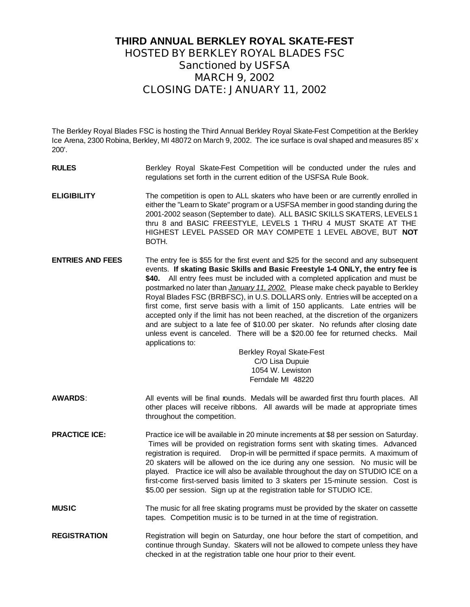### **THIRD ANNUAL BERKLEY ROYAL SKATE-FEST HOSTED BY BERKLEY ROYAL BLADES FSC** *Sanctioned by USFSA* **MARCH 9, 2002 CLOSING DATE: JANUARY 11, 2002**

The Berkley Royal Blades FSC is hosting the Third Annual Berkley Royal Skate-Fest Competition at the Berkley Ice Arena, 2300 Robina, Berkley, MI 48072 on March 9, 2002. The ice surface is oval shaped and measures 85' x 200'.

- **RULES** Berkley Royal Skate-Fest Competition will be conducted under the rules and regulations set forth in the current edition of the USFSA Rule Book.
- **ELIGIBILITY** The competition is open to ALL skaters who have been or are currently enrolled in either the "Learn to Skate" program or a USFSA member in good standing during the 2001-2002 season (September to date). ALL BASIC SKILLS SKATERS, LEVELS 1 thru 8 and BASIC FREESTYLE, LEVELS 1 THRU 4 MUST SKATE AT THE HIGHEST LEVEL PASSED OR MAY COMPETE 1 LEVEL ABOVE, BUT **NOT**  BOTH.
- **ENTRIES AND FEES** The entry fee is \$55 for the first event and \$25 for the second and any subsequent events. **If skating Basic Skills and Basic Freestyle 1-4 ONLY, the entry fee is \$40.** All entry fees must be included with a completed application and must be postmarked no later than *January 11, 2002.* Please make check payable to Berkley Royal Blades FSC (BRBFSC), in U.S. DOLLARS only. Entries will be accepted on a first come, first serve basis with a limit of 150 applicants. Late entries will be accepted only if the limit has not been reached, at the discretion of the organizers and are subject to a late fee of \$10.00 per skater. No refunds after closing date unless event is canceled. There will be a \$20.00 fee for returned checks. Mail applications to:

Berkley Royal Skate-Fest C/O Lisa Dupuie 1054 W. Lewiston Ferndale MI 48220

- **AWARDS:** All events will be final rounds. Medals will be awarded first thru fourth places. All other places will receive ribbons. All awards will be made at appropriate times throughout the competition.
- **PRACTICE ICE:** Practice ice will be available in 20 minute increments at \$8 per session on Saturday. Times will be provided on registration forms sent with skating times. Advanced registration is required. Drop-in will be permitted if space permits. A maximum of 20 skaters will be allowed on the ice during any one session. No music will be played. Practice ice will also be available throughout the day on STUDIO ICE on a first-come first-served basis limited to 3 skaters per 15-minute session. Cost is \$5.00 per session. Sign up at the registration table for STUDIO ICE.
- **MUSIC** The music for all free skating programs must be provided by the skater on cassette tapes. Competition music is to be turned in at the time of registration.
- **REGISTRATION** Registration will begin on Saturday, one hour before the start of competition, and continue through Sunday. Skaters will not be allowed to compete unless they have checked in at the registration table one hour prior to their event.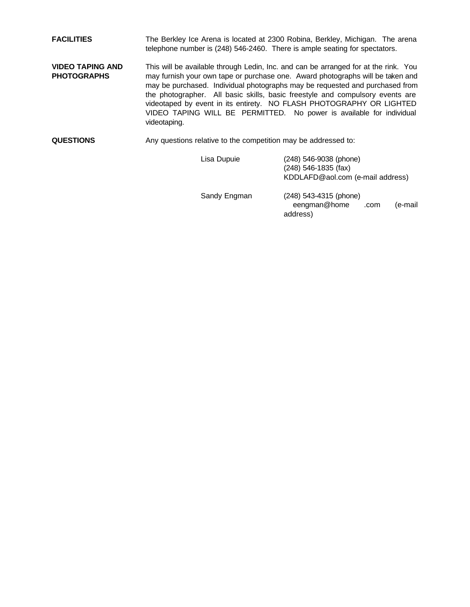**FACILITIES** The Berkley Ice Arena is located at 2300 Robina, Berkley, Michigan. The arena telephone number is (248) 546-2460. There is ample seating for spectators.

- **VIDEO TAPING AND PHOTOGRAPHS** This will be available through Ledin, Inc. and can be arranged for at the rink. You may furnish your own tape or purchase one. Award photographs will be taken and may be purchased. Individual photographs may be requested and purchased from the photographer. All basic skills, basic freestyle and compulsory events are videotaped by event in its entirety. NO FLASH PHOTOGRAPHY OR LIGHTED VIDEO TAPING WILL BE PERMITTED. No power is available for individual videotaping.
- **QUESTIONS** Any questions relative to the competition may be addressed to:

Lisa Dupuie (248) 546-9038 (phone) (248) 546-1835 (fax) KDDLAFD@aol.com (e-mail address) Sandy Engman (248) 543-4315 (phone) eengman@home .com (e-mail address)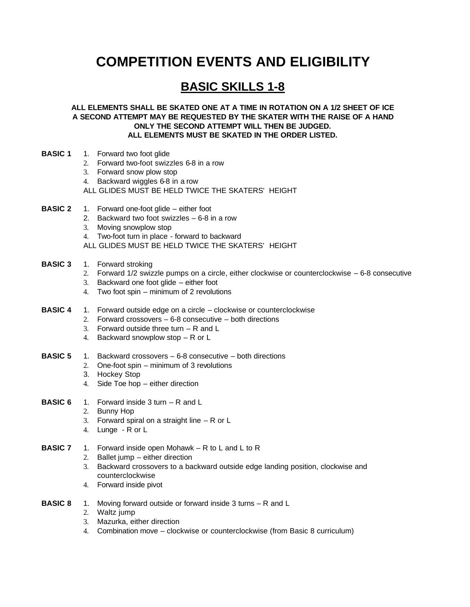# **COMPETITION EVENTS AND ELIGIBILITY**

## **BASIC SKILLS 1-8**

**ALL ELEMENTS SHALL BE SKATED ONE AT A TIME IN ROTATION ON A 1/2 SHEET OF ICE A SECOND ATTEMPT MAY BE REQUESTED BY THE SKATER WITH THE RAISE OF A HAND ONLY THE SECOND ATTEMPT WILL THEN BE JUDGED. ALL ELEMENTS MUST BE SKATED IN THE ORDER LISTED.**

- **BASIC 1** 1. Forward two foot glide
	- 2. Forward two-foot swizzles 6-8 in a row
	- 3. Forward snow plow stop
	- 4. Backward wiggles 6-8 in a row

ALL GLIDES MUST BE HELD TWICE THE SKATERS' HEIGHT

- **BASIC 2** 1. Forward one-foot glide either foot
	- 2. Backward two foot swizzles 6-8 in a row
	- 3. Moving snowplow stop
	- 4. Two-foot turn in place forward to backward
	- ALL GLIDES MUST BE HELD TWICE THE SKATERS' HEIGHT
- **BASIC 3** 1. Forward stroking
	- 2. Forward 1/2 swizzle pumps on a circle, either clockwise or counterclockwise 6-8 consecutive
	- 3. Backward one foot glide either foot
	- 4. Two foot spin minimum of 2 revolutions
- **BASIC 4** 1. Forward outside edge on a circle clockwise or counterclockwise
	- 2. Forward crossovers 6-8 consecutive both directions
	- 3. Forward outside three turn R and L
	- 4. Backward snowplow stop R or L
- **BASIC 5** 1. Backward crossovers 6-8 consecutive both directions
	- 2. One-foot spin minimum of 3 revolutions
	- 3. Hockey Stop
	- 4. Side Toe hop either direction
- **BASIC 6** 1. Forward inside 3 turn R and L
	- 2. Bunny Hop
	- 3. Forward spiral on a straight line R or L
	- 4. Lunge R or L
- **BASIC 7** 1. Forward inside open Mohawk R to L and L to R
	- 2. Ballet jump either direction
	- 3. Backward crossovers to a backward outside edge landing position, clockwise and counterclockwise
	- 4. Forward inside pivot
- **BASIC 8** 1. Moving forward outside or forward inside 3 turns R and L
	- 2. Waltz jump
	- 3. Mazurka, either direction
	- 4. Combination move clockwise or counterclockwise (from Basic 8 curriculum)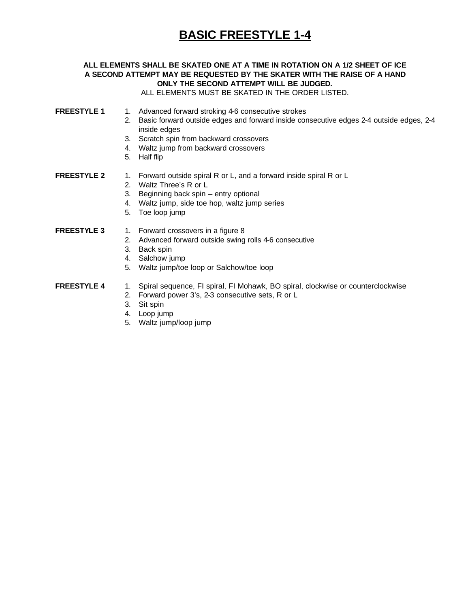# **BASIC FREESTYLE 1-4**

#### **ALL ELEMENTS SHALL BE SKATED ONE AT A TIME IN ROTATION ON A 1/2 SHEET OF ICE A SECOND ATTEMPT MAY BE REQUESTED BY THE SKATER WITH THE RAISE OF A HAND ONLY THE SECOND ATTEMPT WILL BE JUDGED.**

ALL ELEMENTS MUST BE SKATED IN THE ORDER LISTED.

- **FREESTYLE 1** 1. Advanced forward stroking 4-6 consecutive strokes
	- 2. Basic forward outside edges and forward inside consecutive edges 2-4 outside edges, 2-4 inside edges
	- 3. Scratch spin from backward crossovers
	- 4. Waltz jump from backward crossovers
	- 5. Half flip
- **FREESTYLE 2** 1. Forward outside spiral R or L, and a forward inside spiral R or L
	- 2. Waltz Three's R or L
	- 3. Beginning back spin entry optional
	- 4. Waltz jump, side toe hop, waltz jump series
	- 5. Toe loop jump

**FREESTYLE 3** 1. Forward crossovers in a figure 8

- 2. Advanced forward outside swing rolls 4-6 consecutive
- 3. Back spin
- 4. Salchow jump
- 5. Waltz jump/toe loop or Salchow/toe loop
- **FREESTYLE 4** 1. Spiral sequence, FI spiral, FI Mohawk, BO spiral, clockwise or counterclockwise
	- 2. Forward power 3's, 2-3 consecutive sets, R or L
	- 3. Sit spin
	- 4. Loop jump
	- 5. Waltz jump/loop jump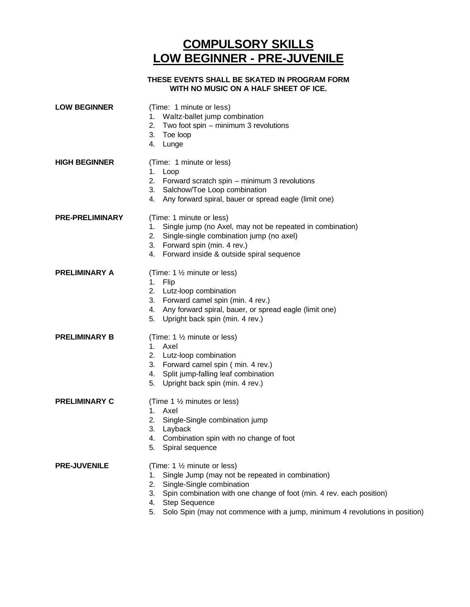## **COMPULSORY SKILLS LOW BEGINNER - PRE-JUVENILE**

#### **THESE EVENTS SHALL BE SKATED IN PROGRAM FORM WITH NO MUSIC ON A HALF SHEET OF ICE.**

| <b>LOW BEGINNER</b>    | (Time: 1 minute or less)<br>Waltz-ballet jump combination<br>1.<br>2.<br>Two foot spin – minimum 3 revolutions<br>3.<br>Toe loop<br>4.<br>Lunge                                                                                                                                                                            |
|------------------------|----------------------------------------------------------------------------------------------------------------------------------------------------------------------------------------------------------------------------------------------------------------------------------------------------------------------------|
| <b>HIGH BEGINNER</b>   | (Time: 1 minute or less)<br>1. Loop<br>2. Forward scratch spin – minimum 3 revolutions<br>3. Salchow/Toe Loop combination<br>4. Any forward spiral, bauer or spread eagle (limit one)                                                                                                                                      |
| <b>PRE-PRELIMINARY</b> | (Time: 1 minute or less)<br>Single jump (no Axel, may not be repeated in combination)<br>1.<br>2. Single-single combination jump (no axel)<br>3. Forward spin (min. 4 rev.)<br>4. Forward inside & outside spiral sequence                                                                                                 |
| <b>PRELIMINARY A</b>   | (Time: $1\frac{1}{2}$ minute or less)<br>1. Flip<br>2. Lutz-loop combination<br>3. Forward camel spin (min. 4 rev.)<br>4. Any forward spiral, bauer, or spread eagle (limit one)<br>Upright back spin (min. 4 rev.)<br>5.                                                                                                  |
| <b>PRELIMINARY B</b>   | (Time: $1\frac{1}{2}$ minute or less)<br>1. Axel<br>2. Lutz-loop combination<br>3. Forward camel spin (min. 4 rev.)<br>4. Split jump-falling leaf combination<br>Upright back spin (min. 4 rev.)<br>5.                                                                                                                     |
| <b>PRELIMINARY C</b>   | (Time 1 1/2 minutes or less)<br>1. Axel<br>Single-Single combination jump<br>2.<br>3.<br>Layback<br>Combination spin with no change of foot<br>4.<br>Spiral sequence                                                                                                                                                       |
| <b>PRE-JUVENILE</b>    | (Time: 1 1/2 minute or less)<br>Single Jump (may not be repeated in combination)<br>1.<br>Single-Single combination<br>2.<br>Spin combination with one change of foot (min. 4 rev. each position)<br>3.<br><b>Step Sequence</b><br>4.<br>Solo Spin (may not commence with a jump, minimum 4 revolutions in position)<br>5. |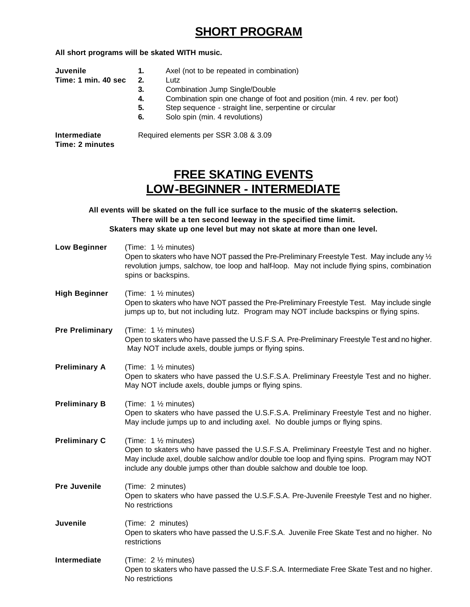### **SHORT PROGRAM**

**All short programs will be skated WITH music.**

| <b>Juvenile</b>                 | 1.                                    | Axel (not to be repeated in combination)                                |
|---------------------------------|---------------------------------------|-------------------------------------------------------------------------|
| Time: 1 min. 40 sec             | 2.                                    | Lutz                                                                    |
|                                 | 3.                                    | Combination Jump Single/Double                                          |
|                                 | 4.                                    | Combination spin one change of foot and position (min. 4 rev. per foot) |
|                                 | 5.                                    | Step sequence - straight line, serpentine or circular                   |
|                                 | 6.                                    | Solo spin (min. 4 revolutions)                                          |
| Intermediate<br>Time: 2 minutes | Required elements per SSR 3.08 & 3.09 |                                                                         |

## **FREE SKATING EVENTS LOW-BEGINNER - INTERMEDIATE**

**All events will be skated on the full ice surface to the music of the skater=s selection. There will be a ten second leeway in the specified time limit. Skaters may skate up one level but may not skate at more than one level.**

| <b>Low Beginner</b>    | (Time: 1 1/2 minutes)<br>Open to skaters who have NOT passed the Pre-Preliminary Freestyle Test. May include any $\frac{1}{2}$<br>revolution jumps, salchow, toe loop and half-loop. May not include flying spins, combination<br>spins or backspins.                                     |
|------------------------|-------------------------------------------------------------------------------------------------------------------------------------------------------------------------------------------------------------------------------------------------------------------------------------------|
| <b>High Beginner</b>   | (Time: 1 1/2 minutes)<br>Open to skaters who have NOT passed the Pre-Preliminary Freestyle Test. May include single<br>jumps up to, but not including lutz. Program may NOT include backspins or flying spins.                                                                            |
| <b>Pre Preliminary</b> | (Time: 1 1/2 minutes)<br>Open to skaters who have passed the U.S.F.S.A. Pre-Preliminary Freestyle Test and no higher.<br>May NOT include axels, double jumps or flying spins.                                                                                                             |
| <b>Preliminary A</b>   | (Time: 1 1/2 minutes)<br>Open to skaters who have passed the U.S.F.S.A. Preliminary Freestyle Test and no higher.<br>May NOT include axels, double jumps or flying spins.                                                                                                                 |
| <b>Preliminary B</b>   | (Time: 1 1/2 minutes)<br>Open to skaters who have passed the U.S.F.S.A. Preliminary Freestyle Test and no higher.<br>May include jumps up to and including axel. No double jumps or flying spins.                                                                                         |
| <b>Preliminary C</b>   | (Time: 1 1/2 minutes)<br>Open to skaters who have passed the U.S.F.S.A. Preliminary Freestyle Test and no higher.<br>May include axel, double salchow and/or double toe loop and flying spins. Program may NOT<br>include any double jumps other than double salchow and double toe loop. |
| <b>Pre Juvenile</b>    | (Time: 2 minutes)<br>Open to skaters who have passed the U.S.F.S.A. Pre-Juvenile Freestyle Test and no higher.<br>No restrictions                                                                                                                                                         |
| Juvenile               | (Time: 2 minutes)<br>Open to skaters who have passed the U.S.F.S.A. Juvenile Free Skate Test and no higher. No<br>restrictions                                                                                                                                                            |
| Intermediate           | (Time: 2 1/2 minutes)<br>Open to skaters who have passed the U.S.F.S.A. Intermediate Free Skate Test and no higher.<br>No restrictions                                                                                                                                                    |